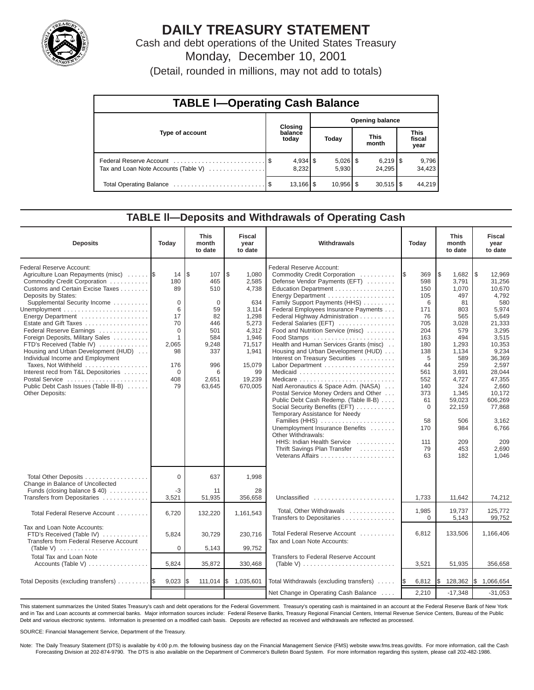

# **DAILY TREASURY STATEMENT**

Cash and debt operations of the United States Treasury Monday, December 10, 2001

(Detail, rounded in millions, may not add to totals)

| <b>TABLE I-Operating Cash Balance</b> |  |                        |                        |                        |  |                        |  |                               |  |
|---------------------------------------|--|------------------------|------------------------|------------------------|--|------------------------|--|-------------------------------|--|
|                                       |  | <b>Closing</b>         | <b>Opening balance</b> |                        |  |                        |  |                               |  |
| Type of account                       |  | balance<br>today       |                        | Today                  |  | <b>This</b><br>month   |  | <b>This</b><br>fiscal<br>year |  |
| Tax and Loan Note Accounts (Table V)  |  | $4,934$ \$<br>8.232    |                        | $5,026$ \$<br>5.930    |  | 24.295                 |  | 9,796<br>34,423               |  |
|                                       |  | $13,166$ $\frac{1}{3}$ |                        | $10,956$ $\frac{8}{3}$ |  | $30,515$ $\frac{1}{3}$ |  | 44.219                        |  |

#### **TABLE ll—Deposits and Withdrawals of Operating Cash**

| <b>Deposits</b>                                                                                                                                                                                                                                                                                                                                                                                                                                                                                                                                             | Today                                                                                                                         | <b>This</b><br>month<br>to date                                                                                         | <b>Fiscal</b><br>year<br>to date                                                                                                          | Withdrawals                                                                                                                                                                                                                                                                                                                                                                                                                                                                                                                                                                                                                                                                                                                                                                                                      |                                                                                                                                                                                  | <b>This</b><br>month<br>to date                                                                                                                                                                           | <b>Fiscal</b><br>year<br>to date                                                                                                                                                                                                              |
|-------------------------------------------------------------------------------------------------------------------------------------------------------------------------------------------------------------------------------------------------------------------------------------------------------------------------------------------------------------------------------------------------------------------------------------------------------------------------------------------------------------------------------------------------------------|-------------------------------------------------------------------------------------------------------------------------------|-------------------------------------------------------------------------------------------------------------------------|-------------------------------------------------------------------------------------------------------------------------------------------|------------------------------------------------------------------------------------------------------------------------------------------------------------------------------------------------------------------------------------------------------------------------------------------------------------------------------------------------------------------------------------------------------------------------------------------------------------------------------------------------------------------------------------------------------------------------------------------------------------------------------------------------------------------------------------------------------------------------------------------------------------------------------------------------------------------|----------------------------------------------------------------------------------------------------------------------------------------------------------------------------------|-----------------------------------------------------------------------------------------------------------------------------------------------------------------------------------------------------------|-----------------------------------------------------------------------------------------------------------------------------------------------------------------------------------------------------------------------------------------------|
| Federal Reserve Account:<br>Agriculture Loan Repayments (misc)<br>Commodity Credit Corporation<br>Customs and Certain Excise Taxes<br>Deposits by States:<br>Supplemental Security Income<br>Energy Department<br>Estate and Gift Taxes<br>Federal Reserve Earnings<br>Foreign Deposits, Military Sales<br>FTD's Received (Table IV)<br>Housing and Urban Development (HUD)<br>Individual Income and Employment<br>Taxes, Not Withheld<br>Interest recd from T&L Depositories<br>Postal Service<br>Public Debt Cash Issues (Table III-B)<br>Other Deposits: | 14<br>180<br>89<br>$\mathbf 0$<br>6<br>17<br>70<br>$\Omega$<br>$\mathbf{1}$<br>2,065<br>98<br>176<br>$\mathbf 0$<br>408<br>79 | l\$<br>107<br>465<br>510<br>$\mathbf 0$<br>59<br>82<br>446<br>501<br>584<br>9,248<br>337<br>996<br>6<br>2,651<br>63,645 | \$<br>1,080<br>2,585<br>4,738<br>634<br>3,114<br>1,298<br>5,273<br>4,312<br>1,946<br>71,517<br>1,941<br>15,079<br>99<br>19,239<br>670,005 | Federal Reserve Account:<br>Commodity Credit Corporation<br>Defense Vendor Payments (EFT)<br>Education Department<br>Energy Department<br>Family Support Payments (HHS)<br>Federal Employees Insurance Payments<br>Federal Highway Administration<br>Federal Salaries (EFT)<br>Food and Nutrition Service (misc)<br>Food Stamps<br>Health and Human Services Grants (misc)<br>Housing and Urban Development (HUD)<br>Interest on Treasury Securities<br>Labor Department<br>Natl Aeronautics & Space Adm. (NASA)<br>Postal Service Money Orders and Other<br>Public Debt Cash Redemp. (Table III-B)<br>Social Security Benefits (EFT)<br>Temporary Assistance for Needy<br>Families (HHS)<br>Unemployment Insurance Benefits<br>Other Withdrawals:<br>HHS: Indian Health Service<br>Thrift Savings Plan Transfer | 1\$<br>369<br>598<br>150<br>105<br>6<br>171<br>76<br>705<br>204<br>163<br>180<br>138<br>5<br>44<br>561<br>552<br>140<br>373<br>61<br>$\mathbf 0$<br>58<br>170<br>111<br>79<br>63 | Ι\$<br>1,682<br>3,791<br>1,070<br>497<br>81<br>803<br>565<br>3,028<br>579<br>494<br>1,293<br>1,134<br>589<br>259<br>3,691<br>4,727<br>324<br>1,345<br>59,023<br>22,159<br>506<br>984<br>209<br>453<br>182 | l \$<br>12,969<br>31,256<br>10,670<br>4,792<br>580<br>5,974<br>5,649<br>21,333<br>3,295<br>3,515<br>10,353<br>9,234<br>36,369<br>2,597<br>28,044<br>47,355<br>2,660<br>10,172<br>606,269<br>77.868<br>3.162<br>6,766<br>209<br>2.690<br>1.046 |
| Total Other Deposits<br>Change in Balance of Uncollected                                                                                                                                                                                                                                                                                                                                                                                                                                                                                                    | $\Omega$                                                                                                                      | 637                                                                                                                     | 1,998                                                                                                                                     |                                                                                                                                                                                                                                                                                                                                                                                                                                                                                                                                                                                                                                                                                                                                                                                                                  |                                                                                                                                                                                  |                                                                                                                                                                                                           |                                                                                                                                                                                                                                               |
| Funds (closing balance $$40$ )<br>Transfers from Depositaries                                                                                                                                                                                                                                                                                                                                                                                                                                                                                               | -3<br>3,521                                                                                                                   | 11<br>51,935                                                                                                            | 28<br>356,658                                                                                                                             | Unclassified                                                                                                                                                                                                                                                                                                                                                                                                                                                                                                                                                                                                                                                                                                                                                                                                     | 1,733                                                                                                                                                                            | 11,642                                                                                                                                                                                                    | 74,212                                                                                                                                                                                                                                        |
| Total Federal Reserve Account                                                                                                                                                                                                                                                                                                                                                                                                                                                                                                                               | 6,720                                                                                                                         | 132,220                                                                                                                 | 1,161,543                                                                                                                                 | Total, Other Withdrawals<br>Transfers to Depositaries                                                                                                                                                                                                                                                                                                                                                                                                                                                                                                                                                                                                                                                                                                                                                            | 1,985<br>$\Omega$                                                                                                                                                                | 19.737<br>5,143                                                                                                                                                                                           | 125.772<br>99,752                                                                                                                                                                                                                             |
| Tax and Loan Note Accounts:<br>FTD's Received (Table IV)<br>Transfers from Federal Reserve Account                                                                                                                                                                                                                                                                                                                                                                                                                                                          | 5,824<br>0                                                                                                                    | 30,729                                                                                                                  | 230,716<br>99,752                                                                                                                         | Total Federal Reserve Account<br>Tax and Loan Note Accounts:                                                                                                                                                                                                                                                                                                                                                                                                                                                                                                                                                                                                                                                                                                                                                     | 6,812                                                                                                                                                                            | 133,506                                                                                                                                                                                                   | 1,166,406                                                                                                                                                                                                                                     |
| (Table V) $\ldots \ldots \ldots \ldots \ldots \ldots \ldots$<br><b>Total Tax and Loan Note</b><br>Accounts (Table V)                                                                                                                                                                                                                                                                                                                                                                                                                                        | 5,824                                                                                                                         | 5,143<br>35,872                                                                                                         | 330,468                                                                                                                                   | Transfers to Federal Reserve Account<br>(Table V) $\ldots \ldots \ldots \ldots \ldots \ldots \ldots \ldots$                                                                                                                                                                                                                                                                                                                                                                                                                                                                                                                                                                                                                                                                                                      | 3,521                                                                                                                                                                            | 51,935                                                                                                                                                                                                    | 356,658                                                                                                                                                                                                                                       |
| Total Deposits (excluding transfers)                                                                                                                                                                                                                                                                                                                                                                                                                                                                                                                        | 9,023                                                                                                                         | 111,014                                                                                                                 | 1\$<br>1,035,601                                                                                                                          | Total Withdrawals (excluding transfers)                                                                                                                                                                                                                                                                                                                                                                                                                                                                                                                                                                                                                                                                                                                                                                          | 6,812<br><b>IS</b>                                                                                                                                                               | I\$<br>128,362                                                                                                                                                                                            | \$1,066,654                                                                                                                                                                                                                                   |
|                                                                                                                                                                                                                                                                                                                                                                                                                                                                                                                                                             |                                                                                                                               |                                                                                                                         |                                                                                                                                           | Net Change in Operating Cash Balance                                                                                                                                                                                                                                                                                                                                                                                                                                                                                                                                                                                                                                                                                                                                                                             | 2,210                                                                                                                                                                            | $-17,348$                                                                                                                                                                                                 | $-31,053$                                                                                                                                                                                                                                     |

This statement summarizes the United States Treasury's cash and debt operations for the Federal Government. Treasury's operating cash is maintained in an account at the Federal Reserve Bank of New York and in Tax and Loan accounts at commercial banks. Major information sources include: Federal Reserve Banks, Treasury Regional Financial Centers, Internal Revenue Service Centers, Bureau of the Public Debt and various electronic systems. Information is presented on a modified cash basis. Deposits are reflected as received and withdrawals are reflected as processed.

SOURCE: Financial Management Service, Department of the Treasury.

Note: The Daily Treasury Statement (DTS) is available by 4:00 p.m. the following business day on the Financial Management Service (FMS) website www.fms.treas.gov/dts. For more information, call the Cash Forecasting Division at 202-874-9790. The DTS is also available on the Department of Commerce's Bulletin Board System. For more information regarding this system, please call 202-482-1986.